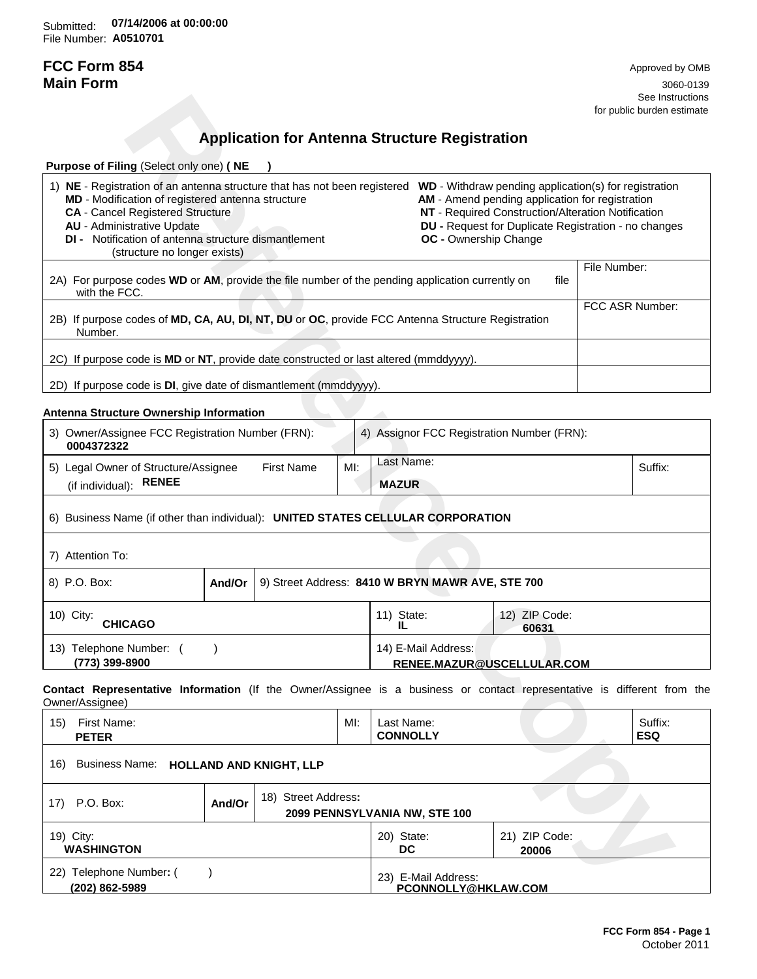Submitted: **07/14/2006 at 00:00:00**File Number: **A0510701**

# **FCC Form 854** Approved by OMB

**Main Form** 3060-0139 See Instructions and the set of the set of the set of the set of the set of the set of the set of the set of the set of the set of the set of the set of the set of the set of the set of the set of the set of the set of the for public burden estimate

## **Application for Antenna Structure Registration**

|                                                                                                                                                                                                                                                                                                                                                              |        |                                                       |                                            |                               |                               |                                                                                                                                                               |                 | See Instructions<br>for public burden estimate |
|--------------------------------------------------------------------------------------------------------------------------------------------------------------------------------------------------------------------------------------------------------------------------------------------------------------------------------------------------------------|--------|-------------------------------------------------------|--------------------------------------------|-------------------------------|-------------------------------|---------------------------------------------------------------------------------------------------------------------------------------------------------------|-----------------|------------------------------------------------|
|                                                                                                                                                                                                                                                                                                                                                              |        |                                                       |                                            |                               |                               |                                                                                                                                                               |                 |                                                |
|                                                                                                                                                                                                                                                                                                                                                              |        | <b>Application for Antenna Structure Registration</b> |                                            |                               |                               |                                                                                                                                                               |                 |                                                |
| Purpose of Filing (Select only one) (NE                                                                                                                                                                                                                                                                                                                      |        |                                                       |                                            |                               |                               |                                                                                                                                                               |                 |                                                |
| 1) NE - Registration of an antenna structure that has not been registered WD - Withdraw pending application(s) for registration<br>MD - Modification of registered antenna structure<br><b>CA</b> - Cancel Registered Structure<br><b>AU</b> - Administrative Update<br>DI - Notification of antenna structure dismantlement<br>(structure no longer exists) |        |                                                       |                                            |                               | OC - Ownership Change         | AM - Amend pending application for registration<br>NT - Required Construction/Alteration Notification<br>DU - Request for Duplicate Registration - no changes |                 |                                                |
| 2A) For purpose codes WD or AM, provide the file number of the pending application currently on<br>file<br>with the FCC.                                                                                                                                                                                                                                     |        |                                                       |                                            |                               |                               | File Number:                                                                                                                                                  |                 |                                                |
| 2B) If purpose codes of MD, CA, AU, DI, NT, DU or OC, provide FCC Antenna Structure Registration<br>Number.                                                                                                                                                                                                                                                  |        |                                                       |                                            |                               |                               |                                                                                                                                                               | FCC ASR Number: |                                                |
| 2C) If purpose code is MD or NT, provide date constructed or last altered (mmddyyyy).                                                                                                                                                                                                                                                                        |        |                                                       |                                            |                               |                               |                                                                                                                                                               |                 |                                                |
| 2D) If purpose code is DI, give date of dismantlement (mmddyyyy).                                                                                                                                                                                                                                                                                            |        |                                                       |                                            |                               |                               |                                                                                                                                                               |                 |                                                |
| Antenna Structure Ownership Information                                                                                                                                                                                                                                                                                                                      |        |                                                       |                                            |                               |                               |                                                                                                                                                               |                 |                                                |
| 3) Owner/Assignee FCC Registration Number (FRN):<br>0004372322                                                                                                                                                                                                                                                                                               |        |                                                       |                                            |                               |                               | 4) Assignor FCC Registration Number (FRN):                                                                                                                    |                 |                                                |
| Last Name:<br>5) Legal Owner of Structure/Assignee<br><b>First Name</b><br>MI:<br><b>RENEE</b><br>(if individual):<br><b>MAZUR</b>                                                                                                                                                                                                                           |        |                                                       |                                            |                               |                               |                                                                                                                                                               | Suffix:         |                                                |
| 6) Business Name (if other than individual): UNITED STATES CELLULAR CORPORATION                                                                                                                                                                                                                                                                              |        |                                                       |                                            |                               |                               |                                                                                                                                                               |                 |                                                |
| 7) Attention To:                                                                                                                                                                                                                                                                                                                                             |        |                                                       |                                            |                               |                               |                                                                                                                                                               |                 |                                                |
| 8) P.O. Box:                                                                                                                                                                                                                                                                                                                                                 | And/Or | 9) Street Address: 8410 W BRYN MAWR AVE, STE 700      |                                            |                               |                               |                                                                                                                                                               |                 |                                                |
| 10) City:<br><b>CHICAGO</b>                                                                                                                                                                                                                                                                                                                                  |        |                                                       |                                            | 11) State:<br>IL.             |                               | 12) ZIP Code:<br>60631                                                                                                                                        |                 |                                                |
| 13) Telephone Number: ()<br>(773) 399-8900                                                                                                                                                                                                                                                                                                                   |        |                                                       |                                            |                               | 14) E-Mail Address:           | RENEE.MAZUR@USCELLULAR.COM                                                                                                                                    |                 |                                                |
| Contact Representative Information (If the Owner/Assignee is a business or contact representative is different from the<br>Owner/Assignee)                                                                                                                                                                                                                   |        |                                                       |                                            |                               |                               |                                                                                                                                                               |                 |                                                |
| 15) First Name:<br><b>PETER</b>                                                                                                                                                                                                                                                                                                                              |        |                                                       | $Ml$ :                                     | Last Name:<br><b>CONNOLLY</b> |                               |                                                                                                                                                               |                 | Suffix:<br><b>ESQ</b>                          |
| Business Name: HOLLAND AND KNIGHT, LLP<br>16)                                                                                                                                                                                                                                                                                                                |        |                                                       |                                            |                               |                               |                                                                                                                                                               |                 |                                                |
| 17) P.O. Box:                                                                                                                                                                                                                                                                                                                                                | And/Or | 18) Street Address:                                   |                                            |                               | 2099 PENNSYLVANIA NW, STE 100 |                                                                                                                                                               |                 |                                                |
| 19) City:<br><b>WASHINGTON</b>                                                                                                                                                                                                                                                                                                                               |        |                                                       |                                            | 20) State:<br><b>DC</b>       |                               | 21) ZIP Code:<br>20006                                                                                                                                        |                 |                                                |
| 22) Telephone Number: (<br>(202) 862-5989                                                                                                                                                                                                                                                                                                                    |        |                                                       | 23) E-Mail Address:<br>PCONNOLLY@HKLAW.COM |                               |                               |                                                                                                                                                               |                 |                                                |

### **Antenna Structure Ownership Information**

| 3) Owner/Assignee FCC Registration Number (FRN):<br>0004372322                  |        |                   |        | 4) Assignor FCC Registration Number (FRN):       |         |  |  |
|---------------------------------------------------------------------------------|--------|-------------------|--------|--------------------------------------------------|---------|--|--|
| 5) Legal Owner of Structure/Assignee<br>(if individual): RENEE                  |        | <b>First Name</b> | $M!$ : | Last Name:<br><b>MAZUR</b>                       | Suffix: |  |  |
| 6) Business Name (if other than individual): UNITED STATES CELLULAR CORPORATION |        |                   |        |                                                  |         |  |  |
| 7) Attention To:                                                                |        |                   |        |                                                  |         |  |  |
| 8) P.O. Box:                                                                    | And/Or |                   |        | 9) Street Address: 8410 W BRYN MAWR AVE, STE 700 |         |  |  |

| 10) City:<br><b>CHICAGO</b>                  | 12) ZIP Code:<br>11) State:<br>60631              |  |
|----------------------------------------------|---------------------------------------------------|--|
| Telephone Number:<br>. 13)<br>(773) 399-8900 | 14) E-Mail Address:<br>RENEE.MAZUR@USCELLULAR.COM |  |

| 15)<br>First Name:<br><b>PETER</b>            |        |                     | $M!$ : | Last Name:<br><b>CONNOLLY</b>                 |                        | Suffix:<br><b>ESQ</b> |
|-----------------------------------------------|--------|---------------------|--------|-----------------------------------------------|------------------------|-----------------------|
| 16)<br>Business Name: HOLLAND AND KNIGHT, LLP |        |                     |        |                                               |                        |                       |
| P.O. Box:<br>17)                              | And/Or | 18) Street Address: |        | 2099 PENNSYLVANIA NW, STE 100                 |                        |                       |
| 19) City:<br><b>WASHINGTON</b>                |        |                     |        | 20) State:<br>DC.                             | 21) ZIP Code:<br>20006 |                       |
| Telephone Number: (<br>22)<br>(202) 862-5989  |        |                     |        | E-Mail Address:<br>23)<br>PCONNOLLY@HKLAW.COM |                        |                       |